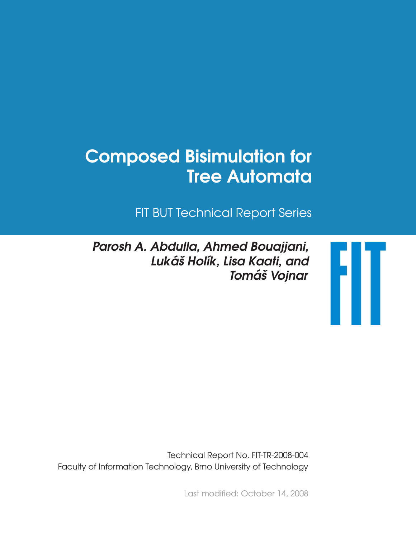# Composed Bisimulation for **Tree Automata**

FIT BUT Technical Report Series

11

Parosh A. Abdulla, Ahmed Bouajjani, Lukáš Holík, Lisa Kaati, and **Tomáš Vojnar** 

Technical Report No. FIT-TR-2008-004 Faculty of Information Technology, Brno University of Technology

Last modified: October 14, 2008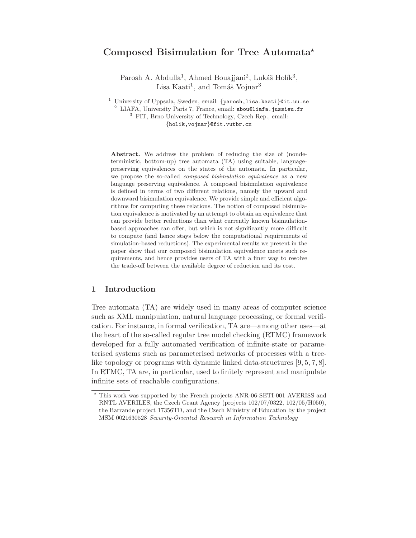# Composed Bisimulation for Tree Automata<sup>\*</sup>

Parosh A. Abdulla<sup>1</sup>, Ahmed Bouajjani<sup>2</sup>, Lukáš Holík<sup>3</sup>, Lisa Kaati<sup>1</sup>, and Tomáš Vojnar<sup>3</sup>

<sup>1</sup> University of Uppsala, Sweden, email: {parosh, lisa.kaati}@it.uu.se

<sup>2</sup> LIAFA, University Paris 7, France, email: abou@liafa.jussieu.fr <sup>3</sup> FIT, Brno University of Technology, Czech Rep., email: {holik,vojnar}@fit.vutbr.cz

Abstract. We address the problem of reducing the size of (nondeterministic, bottom-up) tree automata (TA) using suitable, languagepreserving equivalences on the states of the automata. In particular, we propose the so-called composed bisimulation equivalence as a new language preserving equivalence. A composed bisimulation equivalence is defined in terms of two different relations, namely the upward and downward bisimulation equivalence. We provide simple and efficient algorithms for computing these relations. The notion of composed bisimulation equivalence is motivated by an attempt to obtain an equivalence that can provide better reductions than what currently known bisimulationbased approaches can offer, but which is not significantly more difficult to compute (and hence stays below the computational requirements of simulation-based reductions). The experimental results we present in the paper show that our composed bisimulation equivalence meets such requirements, and hence provides users of TA with a finer way to resolve the trade-off between the available degree of reduction and its cost.

#### 1 Introduction

Tree automata (TA) are widely used in many areas of computer science such as XML manipulation, natural language processing, or formal verification. For instance, in formal verification, TA are—among other uses—at the heart of the so-called regular tree model checking (RTMC) framework developed for a fully automated verification of infinite-state or parameterised systems such as parameterised networks of processes with a treelike topology or programs with dynamic linked data-structures [9, 5, 7, 8]. In RTMC, TA are, in particular, used to finitely represent and manipulate infinite sets of reachable configurations.

This work was supported by the French projects ANR-06-SETI-001 AVERISS and RNTL AVERILES, the Czech Grant Agency (projects 102/07/0322, 102/05/H050), the Barrande project 17356TD, and the Czech Ministry of Education by the project MSM 0021630528 Security-Oriented Research in Information Technology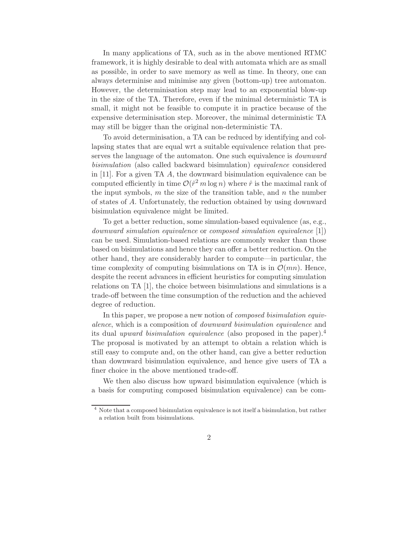In many applications of TA, such as in the above mentioned RTMC framework, it is highly desirable to deal with automata which are as small as possible, in order to save memory as well as time. In theory, one can always determinise and minimise any given (bottom-up) tree automaton. However, the determinisation step may lead to an exponential blow-up in the size of the TA. Therefore, even if the minimal deterministic TA is small, it might not be feasible to compute it in practice because of the expensive determinisation step. Moreover, the minimal deterministic TA may still be bigger than the original non-deterministic TA.

To avoid determinisation, a TA can be reduced by identifying and collapsing states that are equal wrt a suitable equivalence relation that preserves the language of the automaton. One such equivalence is *downward* bisimulation (also called backward bisimulation) equivalence considered in [11]. For a given TA A, the downward bisimulation equivalence can be computed efficiently in time  $\mathcal{O}(\hat{r}^2 m \log n)$  where  $\hat{r}$  is the maximal rank of the input symbols,  $m$  the size of the transition table, and  $n$  the number of states of A. Unfortunately, the reduction obtained by using downward bisimulation equivalence might be limited.

To get a better reduction, some simulation-based equivalence (as, e.g., downward simulation equivalence or composed simulation equivalence [1]) can be used. Simulation-based relations are commonly weaker than those based on bisimulations and hence they can offer a better reduction. On the other hand, they are considerably harder to compute—in particular, the time complexity of computing bisimulations on TA is in  $\mathcal{O}(mn)$ . Hence, despite the recent advances in efficient heuristics for computing simulation relations on TA [1], the choice between bisimulations and simulations is a trade-off between the time consumption of the reduction and the achieved degree of reduction.

In this paper, we propose a new notion of *composed bisimulation equiv*alence, which is a composition of downward bisimulation equivalence and its dual upward bisimulation equivalence (also proposed in the paper).<sup>4</sup> The proposal is motivated by an attempt to obtain a relation which is still easy to compute and, on the other hand, can give a better reduction than downward bisimulation equivalence, and hence give users of TA a finer choice in the above mentioned trade-off.

We then also discuss how upward bisimulation equivalence (which is a basis for computing composed bisimulation equivalence) can be com-

<sup>4</sup> Note that a composed bisimulation equivalence is not itself a bisimulation, but rather a relation built from bisimulations.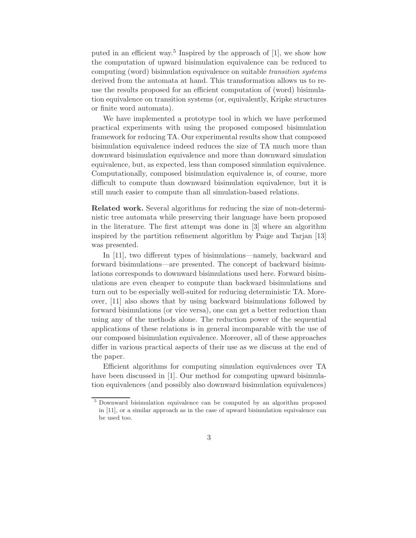puted in an efficient way.<sup>5</sup> Inspired by the approach of  $[1]$ , we show how the computation of upward bisimulation equivalence can be reduced to computing (word) bisimulation equivalence on suitable transition systems derived from the automata at hand. This transformation allows us to reuse the results proposed for an efficient computation of (word) bisimulation equivalence on transition systems (or, equivalently, Kripke structures or finite word automata).

We have implemented a prototype tool in which we have performed practical experiments with using the proposed composed bisimulation framework for reducing TA. Our experimental results show that composed bisimulation equivalence indeed reduces the size of TA much more than downward bisimulation equivalence and more than downward simulation equivalence, but, as expected, less than composed simulation equivalence. Computationally, composed bisimulation equivalence is, of course, more difficult to compute than downward bisimulation equivalence, but it is still much easier to compute than all simulation-based relations.

Related work. Several algorithms for reducing the size of non-deterministic tree automata while preserving their language have been proposed in the literature. The first attempt was done in [3] where an algorithm inspired by the partition refinement algorithm by Paige and Tarjan [13] was presented.

In [11], two different types of bisimulations—namely, backward and forward bisimulations—are presented. The concept of backward bisimulations corresponds to downward bisimulations used here. Forward bisimulations are even cheaper to compute than backward bisimulations and turn out to be especially well-suited for reducing deterministic TA. Moreover, [11] also shows that by using backward bisimulations followed by forward bisimulations (or vice versa), one can get a better reduction than using any of the methods alone. The reduction power of the sequential applications of these relations is in general incomparable with the use of our composed bisimulation equivalence. Moreover, all of these approaches differ in various practical aspects of their use as we discuss at the end of the paper.

Efficient algorithms for computing simulation equivalences over TA have been discussed in [1]. Our method for computing upward bisimulation equivalences (and possibly also downward bisimulation equivalences)

<sup>5</sup> Downward bisimulation equivalence can be computed by an algorithm proposed in [11], or a similar approach as in the case of upward bisimulation equivalence can be used too.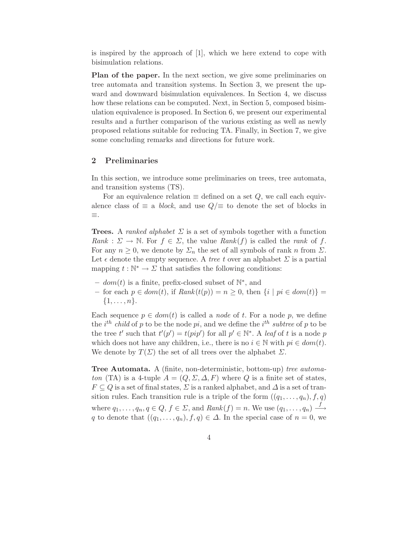is inspired by the approach of [1], which we here extend to cope with bisimulation relations.

Plan of the paper. In the next section, we give some preliminaries on tree automata and transition systems. In Section 3, we present the upward and downward bisimulation equivalences. In Section 4, we discuss how these relations can be computed. Next, in Section 5, composed bisimulation equivalence is proposed. In Section 6, we present our experimental results and a further comparison of the various existing as well as newly proposed relations suitable for reducing TA. Finally, in Section 7, we give some concluding remarks and directions for future work.

#### 2 Preliminaries

In this section, we introduce some preliminaries on trees, tree automata, and transition systems (TS).

For an equivalence relation  $\equiv$  defined on a set Q, we call each equivalence class of  $\equiv$  a *block*, and use  $Q/\equiv$  to denote the set of blocks in ≡.

**Trees.** A ranked alphabet  $\Sigma$  is a set of symbols together with a function Rank :  $\Sigma \to \mathbb{N}$ . For  $f \in \Sigma$ , the value  $Rank(f)$  is called the rank of f. For any  $n \geq 0$ , we denote by  $\Sigma_n$  the set of all symbols of rank n from  $\Sigma$ . Let  $\epsilon$  denote the empty sequence. A tree t over an alphabet  $\Sigma$  is a partial mapping  $t : \mathbb{N}^* \to \Sigma$  that satisfies the following conditions:

- $dom(t)$  is a finite, prefix-closed subset of  $\mathbb{N}^*$ , and
- for each  $p \in dom(t)$ , if  $Rank(t(p)) = n \ge 0$ , then  $\{i \mid pi \in dom(t)\}$  $\{1,\ldots,n\}.$

Each sequence  $p \in dom(t)$  is called a *node* of t. For a node p, we define the *i*<sup>th</sup> child of p to be the node pi, and we define the *i*<sup>th</sup> subtree of p to be the tree t' such that  $t'(p') = t(pip')$  for all  $p' \in \mathbb{N}^*$ . A leaf of t is a node p which does not have any children, i.e., there is no  $i \in \mathbb{N}$  with  $pi \in dom(t)$ . We denote by  $T(\Sigma)$  the set of all trees over the alphabet  $\Sigma$ .

Tree Automata. A (finite, non-deterministic, bottom-up) tree automaton (TA) is a 4-tuple  $A = (Q, \Sigma, \Delta, F)$  where Q is a finite set of states,  $F \subseteq Q$  is a set of final states,  $\Sigma$  is a ranked alphabet, and  $\Delta$  is a set of transition rules. Each transition rule is a triple of the form  $((q_1, \ldots, q_n), f, q)$ where  $q_1, \ldots, q_n, q \in Q, f \in \Sigma$ , and  $Rank(f) = n$ . We use  $(q_1, \ldots, q_n) \stackrel{f}{\longrightarrow}$ q to denote that  $((q_1, \ldots, q_n), f, q) \in \Delta$ . In the special case of  $n = 0$ , we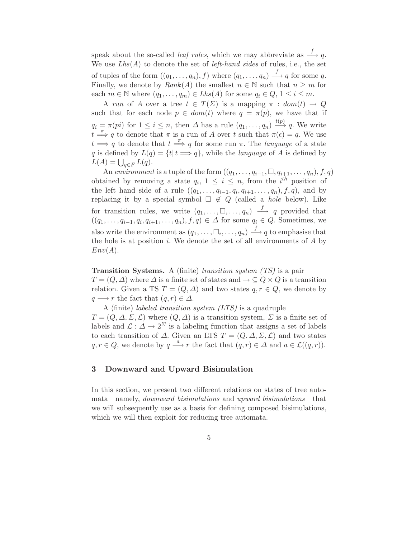speak about the so-called *leaf rules*, which we may abbreviate as  $\xrightarrow{f} q$ . We use  $Lhs(A)$  to denote the set of *left-hand sides* of rules, i.e., the set of tuples of the form  $((q_1, \ldots, q_n), f)$  where  $(q_1, \ldots, q_n) \stackrel{f}{\longrightarrow} q$  for some q. Finally, we denote by  $Rank(A)$  the smallest  $n \in \mathbb{N}$  such that  $n \geq m$  for each  $m \in \mathbb{N}$  where  $(q_1, \ldots, q_m) \in \text{Lhs}(A)$  for some  $q_i \in Q, 1 \leq i \leq m$ .

A run of A over a tree  $t \in T(\Sigma)$  is a mapping  $\pi : dom(t) \to Q$ such that for each node  $p \in dom(t)$  where  $q = \pi(p)$ , we have that if  $q_i = \pi(p_i)$  for  $1 \leq i \leq n$ , then  $\Delta$  has a rule  $(q_1, \ldots, q_n) \stackrel{t(p)}{\longrightarrow} q$ . We write  $t \stackrel{\pi}{\Longrightarrow} q$  to denote that  $\pi$  is a run of A over t such that  $\pi(\epsilon) = q$ . We use  $t \Longrightarrow q$  to denote that  $t \Longrightarrow q$  for some run  $\pi$ . The *language* of a state q is defined by  $L(q) = \{t | t \Longrightarrow q\}$ , while the *language* of A is defined by  $L(A) = \bigcup_{q \in F} L(q).$ 

An environment is a tuple of the form  $((q_1, \ldots, q_{i-1}, \Box, q_{i+1}, \ldots, q_n), f, q)$ obtained by removing a state  $q_i$ ,  $1 \leq i \leq n$ , from the  $i^{th}$  position of the left hand side of a rule  $((q_1, \ldots, q_{i-1}, q_i, q_{i+1}, \ldots, q_n), f, q)$ , and by replacing it by a special symbol  $\Box \notin Q$  (called a *hole* below). Like for transition rules, we write  $(q_1, \ldots, \Box, \ldots, q_n) \stackrel{f}{\longrightarrow} q$  provided that  $((q_1, \ldots, q_{i-1}, q_i, q_{i+1}, \ldots, q_n), f, q) \in \Delta$  for some  $q_i \in Q$ . Sometimes, we also write the environment as  $(q_1, \ldots, \Box_i, \ldots, q_n) \stackrel{f}{\longrightarrow} q$  to emphasise that the hole is at position  $i$ . We denote the set of all environments of  $A$  by  $Env(A)$ .

**Transition Systems.** A (finite) transition system (TS) is a pair  $T = (Q, \Delta)$  where  $\Delta$  is a finite set of states and  $\rightarrow \subseteq Q \times Q$  is a transition relation. Given a TS  $T = (Q, \Delta)$  and two states  $q, r \in Q$ , we denote by  $q \longrightarrow r$  the fact that  $(q, r) \in \Delta$ .

A (finite) labeled transition system (LTS) is a quadruple

 $T = (Q, \Delta, \Sigma, \mathcal{L})$  where  $(Q, \Delta)$  is a transition system,  $\Sigma$  is a finite set of labels and  $\mathcal{L} : \Delta \to 2^{\Sigma}$  is a labeling function that assigns a set of labels to each transition of  $\Delta$ . Given an LTS  $T = (Q, \Delta, \Sigma, \mathcal{L})$  and two states  $q, r \in Q$ , we denote by  $q \stackrel{a}{\longrightarrow} r$  the fact that  $(q, r) \in \Delta$  and  $a \in \mathcal{L}((q, r))$ .

## 3 Downward and Upward Bisimulation

In this section, we present two different relations on states of tree automata—namely, downward bisimulations and upward bisimulations—that we will subsequently use as a basis for defining composed bisimulations, which we will then exploit for reducing tree automata.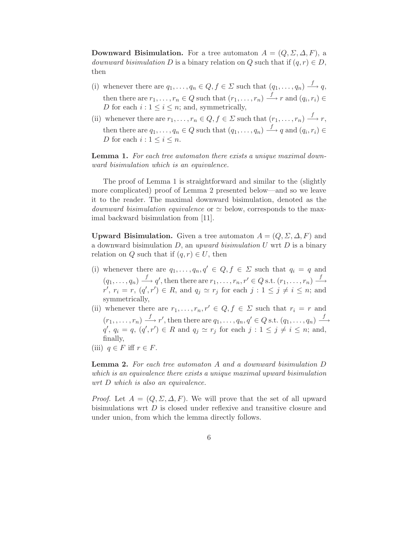**Downward Bisimulation.** For a tree automaton  $A = (Q, \Sigma, \Delta, F)$ , a *downward bisimulation* D is a binary relation on Q such that if  $(q, r) \in D$ , then

- (i) whenever there are  $q_1, \ldots, q_n \in Q, f \in \Sigma$  such that  $(q_1, \ldots, q_n) \stackrel{f}{\longrightarrow} q$ , then there are  $r_1, \ldots, r_n \in Q$  such that  $(r_1, \ldots, r_n) \stackrel{f}{\longrightarrow} r$  and  $(q_i, r_i) \in$ D for each  $i: 1 \leq i \leq n$ ; and, symmetrically,
- (ii) whenever there are  $r_1, \ldots, r_n \in Q, f \in \Sigma$  such that  $(r_1, \ldots, r_n) \stackrel{f}{\longrightarrow} r$ , then there are  $q_1, \ldots, q_n \in Q$  such that  $(q_1, \ldots, q_n) \stackrel{f}{\longrightarrow} q$  and  $(q_i, r_i) \in$ D for each  $i: 1 \leq i \leq n$ .

**Lemma 1.** For each tree automaton there exists a unique maximal downward bisimulation which is an equivalence.

The proof of Lemma 1 is straightforward and similar to the (slightly more complicated) proof of Lemma 2 presented below—and so we leave it to the reader. The maximal downward bisimulation, denoted as the *downward bisimulation equivalence* or  $\simeq$  below, corresponds to the maximal backward bisimulation from [11].

**Upward Bisimulation.** Given a tree automaton  $A = (Q, \Sigma, \Delta, F)$  and a downward bisimulation  $D$ , an upward bisimulation  $U$  wrt  $D$  is a binary relation on Q such that if  $(q, r) \in U$ , then

(i) whenever there are  $q_1, \ldots, q_n, q' \in Q, f \in \Sigma$  such that  $q_i = q$  and  $(q_1,\ldots,q_n)\stackrel{f}{\longrightarrow} q'$ , then there are  $r_1,\ldots,r_n,r'\in Q$  s.t.  $(r_1,\ldots,r_n)\stackrel{f}{\longrightarrow}$  $r', r_i = r, (q', r') \in R$ , and  $q_j \simeq r_j$  for each  $j : 1 \leq j \neq i \leq n$ ; and symmetrically,

(ii) whenever there are  $r_1, \ldots, r_n, r' \in Q, f \in \Sigma$  such that  $r_i = r$  and  $(r_1, \ldots, r_n) \stackrel{f}{\longrightarrow} r'$ , then there are  $q_1, \ldots, q_n, q' \in Q$  s.t.  $(q_1, \ldots, q_n) \stackrel{f}{\longrightarrow}$  $q'$ ,  $q_i = q$ ,  $(q', r') \in R$  and  $q_j \simeq r_j$  for each  $j : 1 \leq j \neq i \leq n$ ; and, finally,

(iii)  $q \in F$  iff  $r \in F$ .

Lemma 2. For each tree automaton A and a downward bisimulation D which is an equivalence there exists a unique maximal upward bisimulation wrt D which is also an equivalence.

*Proof.* Let  $A = (Q, \Sigma, \Delta, F)$ . We will prove that the set of all upward bisimulations wrt D is closed under reflexive and transitive closure and under union, from which the lemma directly follows.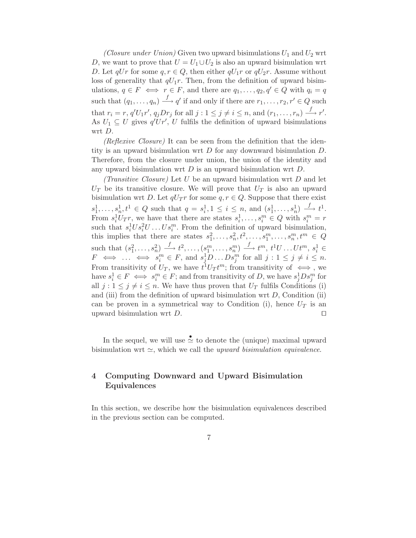(Closure under Union) Given two upward bisimulations  $U_1$  and  $U_2$  wrt D, we want to prove that  $U = U_1 \cup U_2$  is also an upward bisimulation wrt D. Let  $qUr$  for some  $q, r \in Q$ , then either  $qU_1r$  or  $qU_2r$ . Assume without loss of generality that  $qU_1r$ . Then, from the definition of upward bisimulations,  $q \in F \iff r \in F$ , and there are  $q_1, \ldots, q_2, q' \in Q$  with  $q_i = q$ such that  $(q_1, \ldots, q_n) \stackrel{f}{\longrightarrow} q'$  if and only if there are  $r_1, \ldots, r_2, r' \in Q$  such that  $r_i = r$ ,  $q'U_1r'$ ,  $q_jDr_j$  for all  $j: 1 \leq j \neq i \leq n$ , and  $(r_1, \ldots, r_n) \xrightarrow{f} r'$ . As  $U_1 \subseteq U$  gives  $q'Ur', U$  fulfils the definition of upward bisimulations wrt D.

(Reflexive Closure) It can be seen from the definition that the identity is an upward bisimulation wrt  $D$  for any downward bisimulation  $D$ . Therefore, from the closure under union, the union of the identity and any upward bisimulation wrt  $D$  is an upward bisimulation wrt  $D$ .

(*Transitive Closure*) Let U be an upward bisimulation wrt  $D$  and let  $U_T$  be its transitive closure. We will prove that  $U_T$  is also an upward bisimulation wrt D. Let  $qU_T r$  for some  $q, r \in Q$ . Suppose that there exist  $s_1^1, \ldots, s_n^1, t^1 \in Q$  such that  $q = s_i^1, 1 \leq i \leq n$ , and  $(s_1^1, \ldots, s_n^1) \stackrel{f}{\longrightarrow} t^1$ . From  $s_i^1 U_T r$ , we have that there are states  $s_i^1, \ldots, s_i^m \in Q$  with  $s_i^m = r$ such that  $s_i^1 U s_i^2 U \dots U s_i^m$ . From the definition of upward bisimulation, this implies that there are states  $s_1^2, \ldots, s_n^2, t^2, \ldots, s_1^m, \ldots, s_n^m, t^m \in Q$ such that  $(s_1^2, ..., s_n^2) \xrightarrow{f} t^2, ..., (s_1^m, ..., s_n^m) \xrightarrow{f} t^m, t^1U...Ut^m, s_i^1 \in$  $F \iff \dots \iff s_i^m \in F$ , and  $s_j^1 D \dots D s_j^m$  for all  $j : 1 \le j \ne i \le n$ . From transitivity of  $U_T$ , we have  $t^1 U_T t^m$ ; from transitivity of  $\iff$ , we have  $s_i^1 \in F \iff s_i^m \in F$ ; and from transitivity of D, we have  $s_j^1 D s_j^m$  for all  $j : 1 \leq j \neq i \leq n$ . We have thus proven that  $U_T$  fulfils Conditions (i) and (iii) from the definition of upward bisimulation wrt  $D$ , Condition (ii) can be proven in a symmetrical way to Condition (i), hence  $U_T$  is an upward bisimulation wrt D. □

In the sequel, we will use  $\stackrel{\bullet}{\simeq}$  to denote the (unique) maximal upward bisimulation wrt  $\simeq$ , which we call the *upward bisimulation equivalence*.

# 4 Computing Downward and Upward Bisimulation Equivalences

In this section, we describe how the bisimulation equivalences described in the previous section can be computed.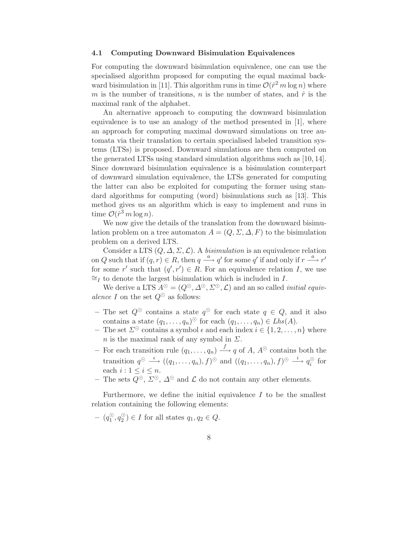#### 4.1 Computing Downward Bisimulation Equivalences

For computing the downward bisimulation equivalence, one can use the specialised algorithm proposed for computing the equal maximal backward bisimulation in [11]. This algorithm runs in time  $\mathcal{O}(\hat{r}^2 m \log n)$  where m is the number of transitions, n is the number of states, and  $\hat{r}$  is the maximal rank of the alphabet.

An alternative approach to computing the downward bisimulation equivalence is to use an analogy of the method presented in [1], where an approach for computing maximal downward simulations on tree automata via their translation to certain specialised labeled transition systems (LTSs) is proposed. Downward simulations are then computed on the generated LTSs using standard simulation algorithms such as [10, 14]. Since downward bisimulation equivalence is a bisimulation counterpart of downward simulation equivalence, the LTSs generated for computing the latter can also be exploited for computing the former using standard algorithms for computing (word) bisimulations such as [13]. This method gives us an algorithm which is easy to implement and runs in time  $\mathcal{O}(\hat{r}^3 m \log n)$ .

We now give the details of the translation from the downward bisimulation problem on a tree automaton  $A = (Q, \Sigma, \Delta, F)$  to the bisimulation problem on a derived LTS.

Consider a LTS  $(Q, \Delta, \Sigma, \mathcal{L})$ . A *bisimulation* is an equivalence relation on Q such that if  $(q, r) \in R$ , then  $q \stackrel{a}{\longrightarrow} q'$  for some  $q'$  if and only if  $r \stackrel{a}{\longrightarrow} r'$ for some r' such that  $(q', r') \in R$ . For an equivalence relation I, we use  $\cong$ I to denote the largest bisimulation which is included in I.

We derive a LTS  $A^{\odot} = (Q^{\odot}, \Delta^{\odot}, \Sigma^{\odot}, \mathcal{L})$  and an so called *initial equiv*alence I on the set  $Q^{\odot}$  as follows:

- The set  $Q^{\odot}$  contains a state  $q^{\odot}$  for each state  $q \in Q$ , and it also contains a state  $(q_1, \ldots, q_n)^\odot$  for each  $(q_1, \ldots, q_n) \in Lhs(A)$ .
- The set  $\Sigma^{\odot}$  contains a symbol  $\epsilon$  and each index  $i \in \{1, 2, ..., n\}$  where *n* is the maximal rank of any symbol in  $\Sigma$ .
- For each transition rule  $(q_1, \ldots, q_n) \stackrel{f}{\longrightarrow} q$  of  $A, A^{\odot}$  contains both the transition  $q^{\odot} \stackrel{\epsilon}{\longrightarrow} ((q_1, \ldots, q_n), f)^{\odot}$  and  $((q_1, \ldots, q_n), f)^{\odot} \stackrel{i}{\longrightarrow} q_i^{\odot}$  $\int_{i}^{\infty}$  for each  $i : 1 \leq i \leq n$ .
- The sets  $Q^{\odot}$ ,  $\Sigma^{\odot}$ ,  $\Delta^{\odot}$  and  $\mathcal L$  do not contain any other elements.

Furthermore, we define the initial equivalence  $I$  to be the smallest relation containing the following elements:

 $(q_1^{\odot})$  $\binom{1}{1}, q_2^{\odot} \in I$  for all states  $q_1, q_2 \in Q$ .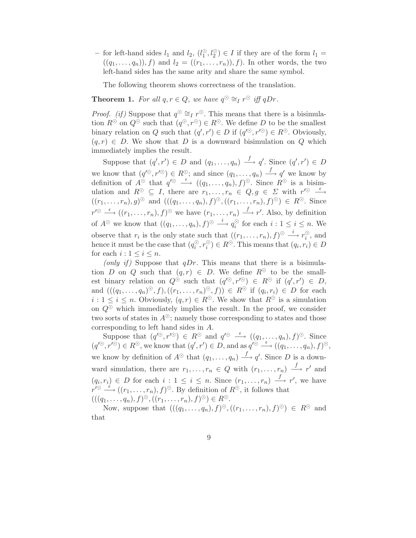– for left-hand sides  $l_1$  and  $l_2$ ,  $(l_1^{\odot})$  $\binom{0}{1}, l_2^{\odot}$   $\in$  *I* if they are of the form  $l_1 =$  $((q_1,\ldots,q_n)), f)$  and  $l_2 = ((r_1,\ldots,r_n)), f$ . In other words, the two left-hand sides has the same arity and share the same symbol.

The following theorem shows correctness of the translation.

**Theorem 1.** For all  $q, r \in Q$ , we have  $q^{\odot} \cong_I r^{\odot}$  iff  $qDr$ .

*Proof.* (if) Suppose that  $q^{\odot} \cong I r^{\odot}$ . This means that there is a bisimulation  $R^{\odot}$  on  $Q^{\odot}$  such that  $(q^{\odot}, r^{\odot}) \in R^{\odot}$ . We define D to be the smallest binary relation on Q such that  $(q', r') \in D$  if  $(q'^{\odot}, r'^{\odot}) \in R^{\odot}$ . Obviously,  $(q, r) \in D$ . We show that D is a downward bisimulation on Q which immediately implies the result.

Suppose that  $(q', r') \in D$  and  $(q_1, \ldots, q_n) \stackrel{f}{\longrightarrow} q'$ . Since  $(q', r') \in D$ we know that  $(q'^{\odot}, r'^{\odot}) \in R^{\odot}$ ; and since  $(q_1, \ldots, q_n) \stackrel{f}{\longrightarrow} q'$  we know by definition of  $A^{\odot}$  that  $q'^{\odot} \stackrel{\epsilon}{\longrightarrow} ((q_1, \ldots, q_n), f)^{\odot}$ . Since  $R^{\odot}$  is a bisimulation and  $R^{\odot} \subseteq I$ , there are  $r_1, \ldots, r_n \in Q, g \in \Sigma$  with  $r'^{\odot} \stackrel{\epsilon}{\longrightarrow}$  $((r_1, \ldots, r_n), g)^\odot$  and  $(((q_1, \ldots, q_n), f)^\odot, ((r_1, \ldots, r_n), f)^\odot) \in R^\odot$ . Since  $r'^{\odot} \stackrel{\epsilon}{\longrightarrow} ((r_1,\ldots,r_n), f)^{\odot}$  we have  $(r_1,\ldots,r_n) \stackrel{f}{\longrightarrow} r'$ . Also, by definition of  $A^{\odot}$  we know that  $((q_1, \ldots, q_n), f)^{\odot} \longrightarrow q_i^{\odot}$  $i_i$ <sup>c</sup> for each  $i: 1 \leq i \leq n$ . We observe that  $r_i$  is the only state such that  $((r_1, \ldots, r_n), f)^\odot \stackrel{i}{\longrightarrow} r_i^\odot$  $i^{\circ}$ , and hence it must be the case that  $(q_i^{\odot})$  $(i<sup>°</sup>, r<sub>i</sub><sup>°</sup>) \in R<sup>°</sup>$ . This means that  $(q<sub>i</sub>, r<sub>i</sub>) \in D$ for each  $i: 1 \leq i \leq n$ .

(only if) Suppose that  $qDr$ . This means that there is a bisimulation D on Q such that  $(q, r) \in D$ . We define  $R^{\odot}$  to be the smallest binary relation on  $Q^{\odot}$  such that  $(q'^{\odot}, r'^{\odot}) \in R^{\odot}$  if  $(q', r') \in D$ , and  $(((q_1,\ldots,q_n)^\odot,f),((r_1,\ldots,r_n)^\odot,f)) \in R^\odot$  if  $(q_i,r_i) \in D$  for each  $i: 1 \leq i \leq n$ . Obviously,  $(q, r) \in R^{\odot}$ . We show that  $R^{\odot}$  is a simulation on  $Q^{\odot}$  which immediately implies the result. In the proof, we consider two sorts of states in  $A^{\odot}$ ; namely those corresponding to states and those corresponding to left hand sides in A.

Suppose that  $(q'^{\odot}, r'^{\odot}) \in R^{\odot}$  and  $q'^{\odot} \stackrel{\epsilon}{\longrightarrow} ((q_1, \ldots, q_n), f)^{\odot}$ . Since  $(q'^{\odot}, r'^{\odot}) \in R^{\odot}$ , we know that  $(q', r') \in D$ , and as  $q'^{\odot} \stackrel{\epsilon}{\longrightarrow} ((q_1, \ldots, q_n), f)^{\odot}$ , we know by definition of  $A^{\odot}$  that  $(q_1, \ldots, q_n) \stackrel{f}{\longrightarrow} q'$ . Since D is a downward simulation, there are  $r_1, \ldots, r_n \in Q$  with  $(r_1, \ldots, r_n) \stackrel{f}{\longrightarrow} r'$  and  $(q_i, r_i) \in D$  for each  $i: 1 \leq i \leq n$ . Since  $(r_1, \ldots, r_n) \stackrel{f}{\longrightarrow} r'$ , we have  $r^{1\odot} \stackrel{\epsilon}{\longrightarrow} ((r_1,\ldots,r_n), f)^\odot$ . By definition of  $R^\odot$ , it follows that  $(((q_1, ..., q_n), f)^{\odot}, ((r_1, ..., r_n), f)^{\odot}) \in R^{\odot}.$ 

Now, suppose that  $(((q_1, \ldots, q_n), f)^\odot, ((r_1, \ldots, r_n), f)^\odot) \in R^\odot$  and that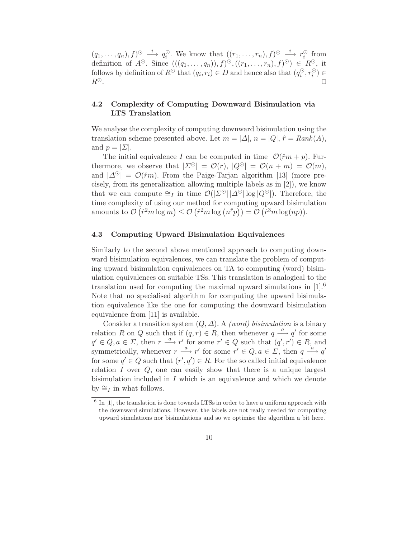$(q_1,\ldots,q_n),f$ <sup>o</sup>  $\stackrel{i}{\longrightarrow} q_i^{\odot}$  $\frac{\odot}{i}$ . We know that  $((r_1, \ldots, r_n), f)$ <sup> $\odot \longrightarrow r_i^{\odot}$ </sup>  $\int\limits_i^\infty$  from definition of  $A^{\odot}$ . Since  $(((q_1, \ldots, q_n)), f)^{\odot}, ((r_1, \ldots, r_n), f)^{\odot}) \in R^{\odot}$ , it follows by definition of  $R^{\odot}$  that  $(q_i, r_i) \in D$  and hence also that  $(q_i^{\odot})$  $(\frac{\odot}{i}, r_i^{\odot}) \in$  $R^{\odot}$ .  $\Box$ 

# 4.2 Complexity of Computing Downward Bisimulation via LTS Translation

We analyse the complexity of computing downward bisimulation using the translation scheme presented above. Let  $m = |\Delta|$ ,  $n = |Q|$ ,  $\hat{r} = Rank(A)$ , and  $p = |\Sigma|$ .

The initial equivalence I can be computed in time  $\mathcal{O}(\hat{r}m + p)$ . Furthermore, we observe that  $|\Sigma^{\odot}| = \mathcal{O}(r)$ ,  $|Q^{\odot}| = \mathcal{O}(n+m) = \mathcal{O}(m)$ , and  $|\Delta^{\odot}| = \mathcal{O}(\hat{r}m)$ . From the Paige-Tarjan algorithm [13] (more precisely, from its generalization allowing multiple labels as in [2]), we know that we can compute  $\cong_I$  in time  $\mathcal{O}(|\Sigma^{\odot}| \Delta^{\odot} |\log |Q^{\odot}|)$ . Therefore, the time complexity of using our method for computing upward bisimulation amounts to  $\mathcal{O}\left(\hat{r}^2m\log m\right) \leq \mathcal{O}\left(\hat{r}^2m\log\left(n^{\hat{r}}p\right)\right) = \mathcal{O}\left(\hat{r}^3m\log(np)\right).$ 

#### 4.3 Computing Upward Bisimulation Equivalences

Similarly to the second above mentioned approach to computing downward bisimulation equivalences, we can translate the problem of computing upward bisimulation equivalences on TA to computing (word) bisimulation equivalences on suitable TSs. This translation is analogical to the translation used for computing the maximal upward simulations in  $[1]$ <sup>6</sup> Note that no specialised algorithm for computing the upward bisimulation equivalence like the one for computing the downward bisimulation equivalence from [11] is available.

Consider a transition system  $(Q, \Delta)$ . A *(word)* bisimulation is a binary relation R on Q such that if  $(q, r) \in R$ , then whenever  $q \stackrel{a}{\longrightarrow} q'$  for some  $q' \in Q, a \in \Sigma$ , then  $r \stackrel{a}{\longrightarrow} r'$  for some  $r' \in Q$  such that  $(q', r') \in R$ , and symmetrically, whenever  $r \stackrel{a}{\longrightarrow} r'$  for some  $r' \in Q, a \in \Sigma$ , then  $q \stackrel{a}{\longrightarrow} q'$ for some  $q' \in Q$  such that  $(r', q') \in R$ . For the so called initial equivalence relation  $I$  over  $Q$ , one can easily show that there is a unique largest bisimulation included in  $I$  which is an equivalence and which we denote by  $\cong_I$  in what follows.

<sup>6</sup> In [1], the translation is done towards LTSs in order to have a uniform approach with the downward simulations. However, the labels are not really needed for computing upward simulations nor bisimulations and so we optimise the algorithm a bit here.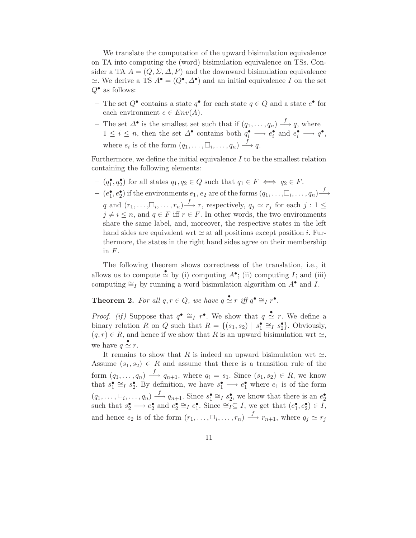We translate the computation of the upward bisimulation equivalence on TA into computing the (word) bisimulation equivalence on TSs. Consider a TA  $A = (Q, \Sigma, \Delta, F)$  and the downward bisimulation equivalence ≃. We derive a TS  $A^{\bullet} = (Q^{\bullet}, \Delta^{\bullet})$  and an initial equivalence I on the set  $Q^{\bullet}$  as follows:

- The set  $Q^{\bullet}$  contains a state  $q^{\bullet}$  for each state  $q \in Q$  and a state  $e^{\bullet}$  for each environment  $e \in Env(A)$ .
- − The set  $\Delta^{\bullet}$  is the smallest set such that if  $(q_1, \ldots, q_n) \stackrel{f}{\longrightarrow} q$ , where  $1 \leq i \leq n$ , then the set  $\Delta^{\bullet}$  contains both  $q_i^{\bullet} \longrightarrow e_i^{\bullet}$  and  $e_i^{\bullet} \longrightarrow q^{\bullet}$ , where  $e_i$  is of the form  $(q_1, \ldots, \Box_i, \ldots, q_n) \stackrel{f}{\longrightarrow} q$ .

Furthermore, we define the initial equivalence  $I$  to be the smallest relation containing the following elements:

- $-(q_1^{\bullet}, q_2^{\bullet})$  for all states  $q_1, q_2 \in Q$  such that  $q_1 \in F \iff q_2 \in F$ .
- $\,\, (e_1^\bullet, e_2^\bullet)$  if the environments  $e_1, e_2$  are of the forms  $(q_1, \ldots, \Box_i, \ldots, q_n)$   $\stackrel{f}{\longrightarrow}$ q and  $(r_1,\ldots,\Box_i,\ldots,r_n) \stackrel{f}{\longrightarrow} r$ , respectively,  $q_j \simeq r_j$  for each  $j : 1 \leq$  $j \neq i \leq n$ , and  $q \in F$  iff  $r \in F$ . In other words, the two environments share the same label, and, moreover, the respective states in the left hand sides are equivalent wrt  $\simeq$  at all positions except position *i*. Furthermore, the states in the right hand sides agree on their membership in  $F$ .

The following theorem shows correctness of the translation, i.e., it allows us to compute  $\stackrel{\bullet}{\simeq}$  by (i) computing  $A^{\bullet}$ ; (ii) computing  $I$ ; and (iii) computing  $\cong_I$  by running a word bisimulation algorithm on  $A^{\bullet}$  and I.

**Theorem 2.** For all  $q, r \in Q$ , we have  $q \stackrel{\bullet}{\simeq} r$  iff  $q^{\bullet} \cong_I r^{\bullet}$ .

*Proof.* (if) Suppose that  $q^{\bullet} \cong I$  r<sup>o</sup>. We show that  $q \stackrel{\bullet}{\simeq} r$ . We define a binary relation R on Q such that  $R = \{(s_1, s_2) \mid s_1^{\bullet} \cong_I s_2^{\bullet}\}\.$  Obviously,  $(q, r) \in R$ , and hence if we show that R is an upward bisimulation wrt  $\approx$ , we have  $q \stackrel{\bullet}{\simeq} r$ .

It remains to show that R is indeed an upward bisimulation wrt  $\simeq$ . Assume  $(s_1, s_2) \in R$  and assume that there is a transition rule of the form  $(q_1,\ldots,q_n) \stackrel{f}{\longrightarrow} q_{n+1}$ , where  $q_i = s_1$ . Since  $(s_1,s_2) \in R$ , we know that  $s_1^{\bullet} \cong_I s_2^{\bullet}$ . By definition, we have  $s_1^{\bullet} \longrightarrow e_1^{\bullet}$  where  $e_1$  is of the form  $(q_1,\ldots,\Box_i,\ldots,q_n)\stackrel{f}{\longrightarrow}q_{n+1}$ . Since  $s_1^{\bullet}\cong_I s_2^{\bullet}$ , we know that there is an  $e_2^{\bullet}$ such that  $s_2^{\bullet} \longrightarrow e_2^{\bullet}$  and  $e_2^{\bullet} \cong_I e_1^{\bullet}$ . Since  $\cong_I \subseteq I$ , we get that  $(e_1^{\bullet}, e_2^{\bullet}) \in I$ , and hence  $e_2$  is of the form  $(r_1, \ldots, \Box_i, \ldots, r_n) \stackrel{f}{\longrightarrow} r_{n+1}$ , where  $q_j \simeq r_j$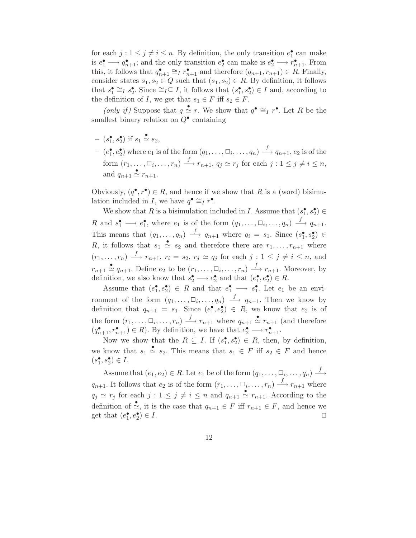for each  $j: 1 \leq j \neq i \leq n$ . By definition, the only transition  $e_1^{\bullet}$  can make is  $e_1^{\bullet} \longrightarrow q_{n+1}^{\bullet}$ ; and the only transition  $e_2^{\bullet}$  can make is  $e_2^{\bullet} \longrightarrow r_{n+1}^{\bullet}$ . From this, it follows that  $q_{n+1}^{\bullet} \cong_I r_{n+1}^{\bullet}$  and therefore  $(q_{n+1}, r_{n+1}) \in R$ . Finally, consider states  $s_1, s_2 \in Q$  such that  $(s_1, s_2) \in R$ . By definition, it follows that  $s_1^{\bullet} \cong_I s_2^{\bullet}$ . Since  $\cong_I \subseteq I$ , it follows that  $(s_1^{\bullet}, s_2^{\bullet}) \in I$  and, according to the definition of I, we get that  $s_1 \in F$  iff  $s_2 \in F$ .

(only if) Suppose that  $q \overset{\bullet}{\simeq} r$ . We show that  $q^{\bullet} \cong_I r^{\bullet}$ . Let R be the smallest binary relation on  $Q^{\bullet}$  containing

- $(s_1^{\bullet}, s_2^{\bullet})$  if  $s_1 \stackrel{\bullet}{\simeq} s_2$ ,
- $(e_1^{\bullet}, e_2^{\bullet})$  where  $e_1$  is of the form  $(q_1, \ldots, \Box_i, \ldots, q_n) \stackrel{f}{\longrightarrow} q_{n+1}, e_2$  is of the form  $(r_1, \ldots, \Box_i, \ldots, r_n) \stackrel{f}{\longrightarrow} r_{n+1}, q_j \simeq r_j$  for each  $j : 1 \leq j \neq i \leq n$ , and  $q_{n+1} \stackrel{\bullet}{\simeq} r_{n+1}$ .

Obviously,  $(q^{\bullet}, r^{\bullet}) \in R$ , and hence if we show that R is a (word) bisimulation included in I, we have  $q^{\bullet} \cong_I r^{\bullet}$ .

We show that R is a bisimulation included in I. Assume that  $(s_1^{\bullet}, s_2^{\bullet}) \in$ R and  $s_1^{\bullet} \longrightarrow e_1^{\bullet}$ , where  $e_1$  is of the form  $(q_1, \ldots, \Box_i, \ldots, q_n) \stackrel{f}{\longrightarrow} q_{n+1}$ . This means that  $(q_1, \ldots, q_n) \stackrel{f}{\longrightarrow} q_{n+1}$  where  $q_i = s_1$ . Since  $(s_1^{\bullet}, s_2^{\bullet}) \in$ R, it follows that  $s_1 \stackrel{\bullet}{\simeq} s_2$  and therefore there are  $r_1, \ldots, r_{n+1}$  where  $(r_1,\ldots,r_n) \stackrel{f}{\longrightarrow} r_{n+1}, r_i = s_2, r_j \simeq q_j \text{ for each } j: 1 \leq j \neq i \leq n, \text{ and }$  $r_{n+1} \stackrel{\bullet}{\simeq} q_{n+1}$ . Define  $e_2$  to be  $(r_1, \ldots, \Box_i, \ldots, r_n) \stackrel{f}{\longrightarrow} r_{n+1}$ . Moreover, by definition, we also know that  $s_2^{\bullet} \longrightarrow e_2^{\bullet}$  and that  $(e_1^{\bullet}, e_2^{\bullet}) \in R$ .

Assume that  $(e_1^{\bullet}, e_2^{\bullet}) \in R$  and that  $e_1^{\bullet} \longrightarrow s_1^{\bullet}$ . Let  $e_1$  be an environment of the form  $(q_1, \ldots, \Box_i, \ldots, q_n) \longrightarrow q_{n+1}$ . Then we know by definition that  $q_{n+1} = s_1$ . Since  $(e_1^{\bullet}, e_2^{\bullet}) \in R$ , we know that  $e_2$  is of the form  $(r_1,\ldots,\Box_i,\ldots,r_n) \stackrel{f}{\longrightarrow} r_{n+1}$  where  $q_{n+1} \stackrel{\bullet}{\simeq} r_{n+1}$  (and therefore  $(q_{n+1}^{\bullet}, r_{n+1}^{\bullet}) \in R$ ). By definition, we have that  $e_2^{\bullet} \longrightarrow r_{n+1}^{\bullet}$ .

Now we show that the  $R \subseteq I$ . If  $(s_1^{\bullet}, s_2^{\bullet}) \in R$ , then, by definition, we know that  $s_1 \stackrel{\bullet}{\simeq} s_2$ . This means that  $s_1 \in F$  iff  $s_2 \in F$  and hence  $(s_1^\bullet,s_2^\bullet)\in I.$ 

Assume that  $(e_1, e_2) \in R$ . Let  $e_1$  be of the form  $(q_1, \ldots, \Box_i, \ldots, q_n) \stackrel{f}{\longrightarrow}$  $q_{n+1}$ . It follows that  $e_2$  is of the form  $(r_1, \ldots, \Box_i, \ldots, r_n) \stackrel{f}{\longrightarrow} r_{n+1}$  where  $q_j \simeq r_j$  for each  $j : 1 \leq j \neq i \leq n$  and  $q_{n+1} \stackrel{\bullet}{\sim} r_{n+1}$ . According to the definition of  $\stackrel{\bullet}{\simeq}$ , it is the case that  $q_{n+1} \in F$  iff  $r_{n+1} \in F$ , and hence we get that  $(e_1^{\bullet}, e_2^{\bullet})$  $) \in I.$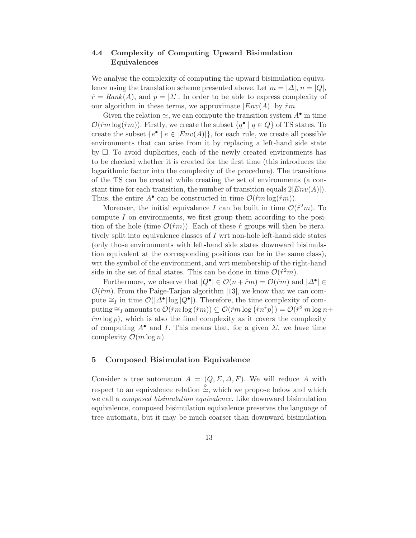### 4.4 Complexity of Computing Upward Bisimulation Equivalences

We analyse the complexity of computing the upward bisimulation equivalence using the translation scheme presented above. Let  $m = |\Delta|, n = |Q|,$  $\hat{r} = Rank(A)$ , and  $p = \sum$ . In order to be able to express complexity of our algorithm in these terms, we approximate  $|Env(A)|$  by  $\hat{r}m$ .

Given the relation  $\simeq$ , we can compute the transition system  $A^{\bullet}$  in time  $\mathcal{O}(\hat{r}m \log(\hat{r}m))$ . Firstly, we create the subset  $\{q^{\bullet} \mid q \in Q\}$  of TS states. To create the subset  $\{e^{\bullet} \mid e \in |Env(A)|\}$ , for each rule, we create all possible environments that can arise from it by replacing a left-hand side state by  $\Box$ . To avoid duplicities, each of the newly created environments has to be checked whether it is created for the first time (this introduces the logarithmic factor into the complexity of the procedure). The transitions of the TS can be created while creating the set of environments (a constant time for each transition, the number of transition equals  $2|Env(A)|$ . Thus, the entire  $A^{\bullet}$  can be constructed in time  $\mathcal{O}(\hat{r}m \log(\hat{r}m))$ .

Moreover, the initial equivalence I can be built in time  $\mathcal{O}(\hat{r}^2m)$ . To compute I on environments, we first group them according to the position of the hole (time  $\mathcal{O}(\hat{r}m)$ ). Each of these  $\hat{r}$  groups will then be iteratively split into equivalence classes of I wrt non-hole left-hand side states (only those environments with left-hand side states downward bisimulation equivalent at the corresponding positions can be in the same class), wrt the symbol of the environment, and wrt membership of the right-hand side in the set of final states. This can be done in time  $\mathcal{O}(\hat{r}^2m)$ .

Furthermore, we observe that  $|Q^{\bullet}| \in \mathcal{O}(n + \hat{r}m) = \mathcal{O}(\hat{r}m)$  and  $|\Delta^{\bullet}| \in$  $\mathcal{O}(\hat{r}m)$ . From the Paige-Tarjan algorithm [13], we know that we can compute  $\cong_I$  in time  $\mathcal{O}(|\Delta^{\bullet}| \log |Q^{\bullet}|)$ . Therefore, the time complexity of computing  $\cong_I$  amounts to  $\mathcal{O}(\hat{r}m \log(\hat{r}m)) \subseteq \mathcal{O}(\hat{r}m \log(\hat{r}m\hat{r}m)) = \mathcal{O}(\hat{r}^2 m \log n +$  $\hat{r}m\log p$ , which is also the final complexity as it covers the complexity of computing  $A^{\bullet}$  and I. This means that, for a given  $\Sigma$ , we have time complexity  $\mathcal{O}(m \log n)$ .

#### 5 Composed Bisimulation Equivalence

Consider a tree automaton  $A = (Q, \Sigma, \Delta, F)$ . We will reduce A with respect to an equivalence relation  $\hat{\simeq}$ , which we propose below and which we call a composed bisimulation equivalence. Like downward bisimulation equivalence, composed bisimulation equivalence preserves the language of tree automata, but it may be much coarser than downward bisimulation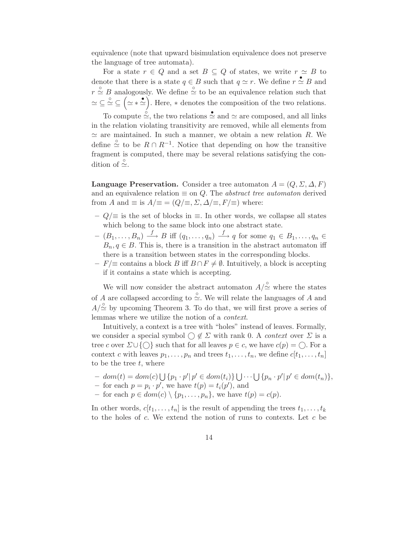equivalence (note that upward bisimulation equivalence does not preserve the language of tree automata).

For a state  $r \in Q$  and a set  $B \subseteq Q$  of states, we write  $r \simeq B$  to denote that there is a state  $q \in B$  such that  $q \simeq r$ . We define  $r \stackrel{\bullet}{\simeq} B$  and  $r \stackrel{\circ}{\simeq} B$  analogously. We define  $\stackrel{\circ}{\simeq}$  to be an equivalence relation such that  $\simeq \subseteq \overset{\circ}{\simeq} \subseteq (\simeq * \overset{\bullet}{\simeq})$ . Here,  $*$  denotes the composition of the two relations.

To compute  $\stackrel{\circ}{\simeq}$ , the two relations  $\stackrel{\bullet}{\simeq}$  and  $\simeq$  are composed, and all links in the relation violating transitivity are removed, while all elements from  $\simeq$  are maintained. In such a manner, we obtain a new relation R. We define  $\stackrel{\circ}{\simeq}$  to be  $R \cap R^{-1}$ . Notice that depending on how the transitive fragment is computed, there may be several relations satisfying the condition of  $\stackrel{\circ}{\simeq}$ .

**Language Preservation.** Consider a tree automaton  $A = (Q, \Sigma, \Delta, F)$ and an equivalence relation  $\equiv$  on Q. The *abstract tree automaton* derived from A and  $\equiv$  is  $A/\equiv$  =  $(Q/\equiv, \Sigma, \Delta/\equiv, F/\equiv)$  where:

- Q/≡ is the set of blocks in ≡. In other words, we collapse all states which belong to the same block into one abstract state.
- $(B_1, \ldots, B_n) \stackrel{f}{\longrightarrow} B$  iff  $(q_1, \ldots, q_n) \stackrel{f}{\longrightarrow} q$  for some  $q_1 \in B_1, \ldots, q_n \in$  $B_n, q \in B$ . This is, there is a transition in the abstract automaton iff there is a transition between states in the corresponding blocks.
- $-F/\equiv$  contains a block B iff  $B \cap F \neq \emptyset$ . Intuitively, a block is accepting if it contains a state which is accepting.

We will now consider the abstract automaton  $A/\overset{\circ}{\simeq}$  where the states of A are collapsed according to  $\stackrel{\circ}{\simeq}$ . We will relate the languages of A and  $A/\overset{\circ}{\simeq}$  by upcoming Theorem 3. To do that, we will first prove a series of lemmas where we utilize the notion of a context.

Intuitively, a context is a tree with "holes" instead of leaves. Formally, we consider a special symbol  $\bigcirc \notin \Sigma$  with rank 0. A *context* over  $\Sigma$  is a tree c over  $\Sigma \cup \{ \bigcirc \}$  such that for all leaves  $p \in c$ , we have  $c(p) = \bigcirc$ . For a context c with leaves  $p_1, \ldots, p_n$  and trees  $t_1, \ldots, t_n$ , we define  $c[t_1, \ldots, t_n]$ to be the tree  $t$ , where

- $dom(t) = dom(c) \bigcup \{p_1 \cdot p' | p' \in dom(t_i)\} \bigcup \cdots \bigcup \{p_n \cdot p' | p' \in dom(t_n)\},\$
- for each  $p = p_i \cdot p'$ , we have  $t(p) = t_i(p')$ , and
- for each  $p \in dom(c) \setminus \{p_1, \ldots, p_n\}$ , we have  $t(p) = c(p)$ .

In other words,  $c[t_1, \ldots, t_n]$  is the result of appending the trees  $t_1, \ldots, t_k$ to the holes of  $c$ . We extend the notion of runs to contexts. Let  $c$  be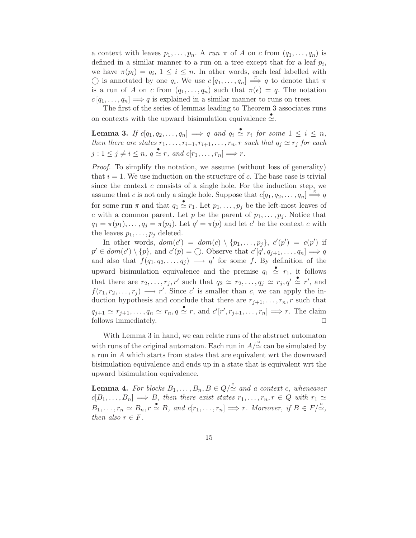a context with leaves  $p_1, \ldots, p_n$ . A run  $\pi$  of A on c from  $(q_1, \ldots, q_n)$  is defined in a similar manner to a run on a tree except that for a leaf  $p_i$ , we have  $\pi(p_i) = q_i, 1 \leq i \leq n$ . In other words, each leaf labelled with  $\bigcirc$  is annotated by one  $q_i$ . We use  $c[q_1,\ldots,q_n] \stackrel{\pi}{\Longrightarrow} q$  to denote that  $\pi$ is a run of A on c from  $(q_1, \ldots, q_n)$  such that  $\pi(\epsilon) = q$ . The notation  $c[q_1,\ldots,q_n] \Longrightarrow q$  is explained in a similar manner to runs on trees.

The first of the series of lemmas leading to Theorem 3 associates runs on contexts with the upward bisimulation equivalence  $\stackrel{\bullet}{\simeq}$ .

**Lemma 3.** If  $c[q_1, q_2, \ldots, q_n] \implies q$  and  $q_i \overset{\bullet}{\simeq} r_i$  for some  $1 \leq i \leq n$ , then there are states  $r_1, \ldots, r_{i-1}, r_{i+1}, \ldots, r_n, r$  such that  $q_i \simeq r_i$  for each  $j: 1 \leq j \neq i \leq n, q \stackrel{\bullet}{\simeq} r, \text{ and } c[r_1, \ldots, r_n] \Longrightarrow r.$ 

Proof. To simplify the notation, we assume (without loss of generality) that  $i = 1$ . We use induction on the structure of c. The base case is trivial since the context  $c$  consists of a single hole. For the induction step, we assume that c is not only a single hole. Suppose that  $c[q_1, q_2, \ldots, q_n] \stackrel{\sim}{\Longrightarrow} q$ for some run  $\pi$  and that  $q_1 \stackrel{\bullet}{\simeq} r_1$ . Let  $p_1, \ldots, p_j$  be the left-most leaves of c with a common parent. Let p be the parent of  $p_1, \ldots, p_j$ . Notice that  $q_1 = \pi(p_1), \ldots, q_j = \pi(p_j)$ . Let  $q' = \pi(p)$  and let c' be the context c with the leaves  $p_1, \ldots, p_j$  deleted.

In other words,  $dom(c') = dom(c) \setminus \{p_1, \ldots, p_j\}, c'(p') = c(p')$  if  $p' \in dom(c') \setminus \{p\}$ , and  $c'(p) = \bigcirc$ . Observe that  $c'[q', q_{j+1}, \ldots, q_n] \Longrightarrow q$ and also that  $f(q_1, q_2, \ldots, q_j) \longrightarrow q'$  for some f. By definition of the upward bisimulation equivalence and the premise  $q_1 \stackrel{\bullet}{\simeq} r_1$ , it follows that there are  $r_2, \ldots, r_j, r'$  such that  $q_2 \simeq r_2, \ldots, q_j \simeq r_j, q' \stackrel{\bullet}{\simeq} r'$ , and  $f(r_1, r_2, \ldots, r_j) \longrightarrow r'.$  Since c' is smaller than c, we can apply the induction hypothesis and conclude that there are  $r_{j+1}, \ldots, r_n, r$  such that  $q_{j+1} \simeq r_{j+1}, \ldots, q_n \simeq r_n, q \stackrel{\bullet}{\simeq} r$ , and  $c'[r', r_{j+1}, \ldots, r_n] \Longrightarrow r$ . The claim follows immediately. ⊓⊔

With Lemma 3 in hand, we can relate runs of the abstract automaton with runs of the original automaton. Each run in  $A/\overset{\circ}{\simeq}$  can be simulated by a run in A which starts from states that are equivalent wrt the downward bisimulation equivalence and ends up in a state that is equivalent wrt the upward bisimulation equivalence.

**Lemma 4.** For blocks  $B_1, \ldots, B_n, B \in Q/2$  and a context c, wheneaver  $c[B_1, \ldots, B_n] \Longrightarrow B$ , then there exist states  $r_1, \ldots, r_n, r \in Q$  with  $r_1 \simeq$  $B_1, \ldots, r_n \simeq B_n, r \stackrel{\bullet}{\simeq} B, \text{ and } c[r_1, \ldots, r_n] \Longrightarrow r.$  Moreover, if  $B \in F/\stackrel{\circ}{\simeq}$ , then also  $r \in F$ .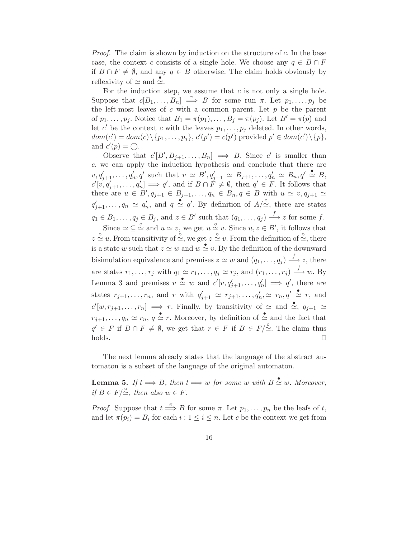Proof. The claim is shown by induction on the structure of c. In the base case, the context c consists of a single hole. We choose any  $q \in B \cap F$ if  $B \cap F \neq \emptyset$ , and any  $q \in B$  otherwise. The claim holds obviously by reflexivity of  $\simeq$  and  $\stackrel{\bullet}{\simeq}$ .

For the induction step, we assume that  $c$  is not only a single hole. Suppose that  $c[B_1, \ldots, B_n] \stackrel{\pi}{\implies} B$  for some run  $\pi$ . Let  $p_1, \ldots, p_j$  be the left-most leaves of  $c$  with a common parent. Let  $p$  be the parent of  $p_1, \ldots, p_j$ . Notice that  $B_1 = \pi(p_1), \ldots, B_j = \pi(p_j)$ . Let  $B' = \pi(p)$  and let c' be the context c with the leaves  $p_1, \ldots, p_j$  deleted. In other words,  $dom(c') = dom(c) \setminus \{p_1, \ldots, p_j\}, c'(p') = c(p')$  provided  $p' \in dom(c') \setminus \{p\},$ and  $c'(p) = \bigcirc$ .

Observe that  $c'[B', B_{j+1}, \ldots, B_n] \implies B$ . Since c' is smaller than c, we can apply the induction hypothesis and conclude that there are  $v, q'_{j+1}, \ldots, q'_n, q'$  such that  $v \simeq B', q'_{j+1} \simeq B_{j+1}, \ldots, q'_n \simeq B_n, q' \stackrel{\bullet}{\simeq} B$ ,  $c'[v, q'_{j+1}, \ldots, q'_n] \Longrightarrow q'$ , and if  $B \cap F \neq \emptyset$ , then  $q' \in F$ . It follows that there are  $u \in B', q_{j+1} \in B_{j+1}, \ldots, q_n \in B_n, q \in B$  with  $u \simeq v, q_{j+1} \simeq$  $q'_{j+1}, \ldots, q_n \simeq q'_n$ , and  $q \stackrel{\bullet}{\simeq} q'$ . By definition of  $A/\stackrel{\circ}{\simeq}$ , there are states  $q_1 \in B_1, \ldots, q_j \in B_j$ , and  $z \in B'$  such that  $(q_1, \ldots, q_j) \stackrel{f}{\longrightarrow} z$  for some f.

Since  $\approx \subseteq \cong$  and  $u \approx v$ , we get  $u \stackrel{\circ}{\approx} v$ . Since  $u, z \in B'$ , it follows that  $z \overset{\circ}{\simeq} u$ . From transitivity of  $\overset{\circ}{\simeq}$ , we get  $z \overset{\circ}{\simeq} v$ . From the definition of  $\overset{\circ}{\simeq}$ , there is a state w such that  $z \simeq w$  and  $w \overset{\bullet}{\simeq} v$ . By the definition of the downward bisimulation equivalence and premises  $z \simeq w$  and  $(q_1, \ldots, q_j) \stackrel{f}{\longrightarrow} z$ , there are states  $r_1, \ldots, r_j$  with  $q_1 \simeq r_1, \ldots, q_j \simeq r_j$ , and  $(r_1, \ldots, r_j) \stackrel{f}{\longrightarrow} w$ . By Lemma 3 and premises  $v \stackrel{\bullet}{\simeq} w$  and  $c'[v, q'_{j+1}, \ldots, q'_n] \implies q'$ , there are states  $r_{j+1}, \ldots, r_n$ , and r with  $q'_{j+1} \simeq r_{j+1}, \ldots, q'_n \simeq r_n, q' \stackrel{\bullet}{\simeq} r$ , and  $c'[w, r_{j+1}, \ldots, r_n] \implies r$ . Finally, by transitivity of  $\simeq$  and  $\stackrel{\bullet}{\simeq}$ ,  $q_{j+1} \simeq$  $r_{j+1}, \ldots, q_n \simeq r_n, q \stackrel{\bullet}{\simeq} r$ . Moreover, by definition of  $\stackrel{\bullet}{\simeq}$  and the fact that  $q' \in F$  if  $B \cap F \neq \emptyset$ , we get that  $r \in F$  if  $B \in F/\stackrel{\circ}{\simeq}$ . The claim thus holds. ⊓⊔

The next lemma already states that the language of the abstract automaton is a subset of the language of the original automaton.

**Lemma 5.** If  $t \Longrightarrow B$ , then  $t \Longrightarrow w$  for some w with  $B \stackrel{\bullet}{\simeq} w$ . Moreover, if  $B \in F/\stackrel{\circ}{\simeq}$ , then also  $w \in F$ .

*Proof.* Suppose that  $t \stackrel{\pi}{\Longrightarrow} B$  for some  $\pi$ . Let  $p_1, \ldots, p_n$  be the leafs of  $t$ , and let  $\pi(p_i) = B_i$  for each  $i: 1 \leq i \leq n$ . Let c be the context we get from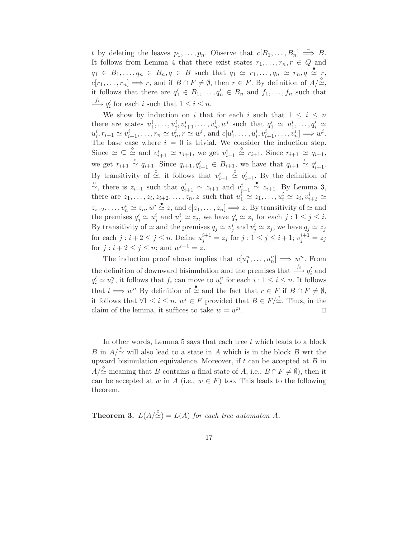t by deleting the leaves  $p_1, \ldots, p_n$ . Observe that  $c[B_1, \ldots, B_n] \stackrel{\pi}{\Longrightarrow} B$ . It follows from Lemma 4 that there exist states  $r_1, \ldots, r_n, r \in Q$  and  $q_1 \in B_1, \ldots, q_n \in B_n, q \in B$  such that  $q_1 \simeq r_1, \ldots, q_n \simeq r_n, q \simeq r$ ,  $c[r_1, \ldots, r_n] \Longrightarrow r$ , and if  $B \cap F \neq \emptyset$ , then  $r \in F$ . By definition of  $A/\overset{\circ}{\simeq}$ , it follows that there are  $q'_1 \in B_1, \ldots, q'_n \in B_n$  and  $f_1, \ldots, f_n$  such that  $\frac{f_i}{f}$  of  $q'_i$  for each i such that  $1 \leq i \leq n$ .

We show by induction on i that for each i such that  $1 \leq i \leq n$ there are states  $u_1^i, \ldots, u_i^i, v_{i+1}^i, \ldots, v_n^i, w^i$  such that  $q'_1 \simeq u_1^i, \ldots, q'_i \simeq$  $u_i^i, r_{i+1} \simeq v_{i+1}^i, \ldots, r_n \simeq v_n^i, r \simeq w^i$ , and  $c[u_1^i, \ldots, u_i^i, v_{i+1}^i, \ldots, v_n^i] \Longrightarrow w^i$ . The base case where  $i = 0$  is trivial. We consider the induction step. Since  $\simeq \subseteq \overset{\circ}{\simeq}$  and  $v_{i+1}^i \simeq r_{i+1}$ , we get  $v_{i+1}^i$  $\stackrel{\circ}{\simeq}$   $r_{i+1}$ . Since  $r_{i+1} \simeq q_{i+1}$ , we get  $r_{i+1} \stackrel{\circ}{\simeq} q_{i+1}$ . Since  $q_{i+1}, q'_{i+1} \in B_{i+1}$ , we have that  $q_{i+1} \stackrel{\circ}{\simeq} q'_{i+1}$ . By transitivity of  $\stackrel{\circ}{\simeq}$ , it follows that  $v_{i+1}^i$  $\stackrel{\circ}{\simeq} q'_{i+1}$ . By the definition of  $\stackrel{\circ}{\simeq}$ , there is  $z_{i+1}$  such that  $q'_{i+1} \simeq z_{i+1}$  and  $v^{i}_{i+1}$  $\stackrel{\bullet}{\simeq} z_{i+1}$ . By Lemma 3, there are  $z_1, \ldots, z_i, z_{i+2}, \ldots, z_n, z$  such that  $u_1^i \simeq z_1, \ldots, u_i^i \simeq z_i, v_{i+2}^i \simeq z_i$  $z_{i+2}, \ldots, v_n^i \simeq z_n, w^i \stackrel{\bullet}{\simeq} z$ , and  $c[z_1, \ldots, z_n] \Longrightarrow z$ . By transitivity of  $\simeq$  and the premises  $q'_j \simeq u_j^i$  and  $u_j^i \simeq z_j$ , we have  $q'_j \simeq z_j$  for each  $j : 1 \leq j \leq i$ . By transitivity of  $\simeq$  and the premises  $q_j \simeq v_j^i$  and  $v_j^i \simeq z_j$ , we have  $q_j \simeq z_j$ for each  $j : i + 2 \leq j \leq n$ . Define  $u_j^{i+1} = z_j$  for  $j : 1 \leq j \leq i + 1$ ;  $v_j^{i+1} = z_j$ for  $j : i + 2 \le j \le n$ ; and  $w^{i+1} = z$ .

The induction proof above implies that  $c[u_1^n, \ldots, u_n^n] \implies w^n$ . From the definition of downward bisimulation and the premises that  $\xrightarrow{f_i} q'_i$  and  $q'_i \simeq u_i^n$ , it follows that  $f_i$  can move to  $u_i^n$  for each  $i: 1 \leq i \leq n$ . It follows that  $t \implies w^n$  By definition of  $\stackrel{\bullet}{\sim}$  and the fact that  $r \in F$  if  $B \cap F \neq \emptyset$ , it follows that  $\forall 1 \leq i \leq n$ .  $w^i \in F$  provided that  $B \in F/\overset{\circ}{\simeq}$ . Thus, in the claim of the lemma, it suffices to take  $w = w^n$ . ⊓⊔

In other words, Lemma  $5$  says that each tree  $t$  which leads to a block B in  $A/\overset{\circ}{\simeq}$  will also lead to a state in A which is in the block B wrt the upward bisimulation equivalence. Moreover, if  $t$  can be accepted at  $B$  in  $A/\overset{\circ}{\simeq}$  meaning that B contains a final state of A, i.e.,  $B \cap F \neq \emptyset$ ), then it can be accepted at w in A (i.e.,  $w \in F$ ) too. This leads to the following theorem.

**Theorem 3.**  $L(A/\overset{\circ}{\simeq}) = L(A)$  for each tree automaton A.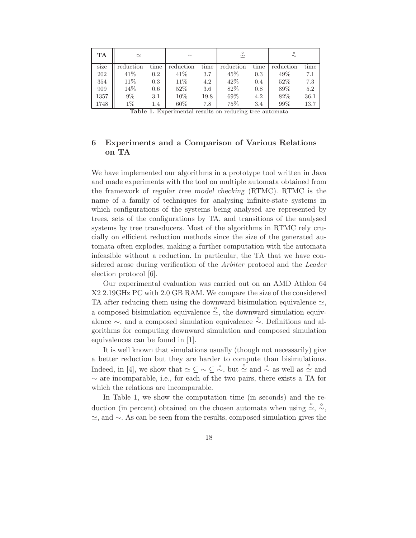| TA   | $\simeq$  |      | $\sim$    |      | $\stackrel{\circ}{\simeq}$ |      | $\circ$<br>$\sim$ |      |
|------|-----------|------|-----------|------|----------------------------|------|-------------------|------|
| size | reduction | time | reduction | time | reduction                  | time | reduction         | time |
| 202  | 41\%      | 0.2  | 41\%      | 3.7  | 45\%                       | 0.3  | 49\%              | 7.1  |
| 354  | 11\%      | 0.3  | 11\%      | 4.2  | 42%                        | 0.4  | 52%               | 7.3  |
| 909  | 14%       | 0.6  | 52\%      | 3.6  | 82%                        | 0.8  | 89%               | 5.2  |
| 1357 | 9%        | 3.1  | 10%       | 19.8 | 69%                        | 4.2  | 82%               | 36.1 |
| 1748 | $1\%$     | 1.4  | 60%       | 7.8  | 75%                        | 3.4  | 99%               | 13.7 |

Table 1. Experimental results on reducing tree automata

# 6 Experiments and a Comparison of Various Relations on TA

We have implemented our algorithms in a prototype tool written in Java and made experiments with the tool on multiple automata obtained from the framework of regular tree model checking (RTMC). RTMC is the name of a family of techniques for analysing infinite-state systems in which configurations of the systems being analysed are represented by trees, sets of the configurations by TA, and transitions of the analysed systems by tree transducers. Most of the algorithms in RTMC rely crucially on efficient reduction methods since the size of the generated automata often explodes, making a further computation with the automata infeasible without a reduction. In particular, the TA that we have considered arose during verification of the Arbiter protocol and the Leader election protocol [6].

Our experimental evaluation was carried out on an AMD Athlon 64 X2 2.19GHz PC with 2.0 GB RAM. We compare the size of the considered TA after reducing them using the downward bisimulation equivalence  $\simeq$ , a composed bisimulation equivalence  $\stackrel{\circ}{\simeq}$ , the downward simulation equivalence  $\sim$ , and a composed simulation equivalence  $\sim$ . Definitions and algorithms for computing downward simulation and composed simulation equivalences can be found in [1].

It is well known that simulations usually (though not necessarily) give a better reduction but they are harder to compute than bisimulations. Indeed, in [4], we show that  $\simeq \subseteq \sim \subseteq \stackrel{\circ}{\sim}$ , but  $\stackrel{\circ}{\simeq}$  and  $\stackrel{\circ}{\sim}$  as well as  $\stackrel{\circ}{\simeq}$  and ∼ are incomparable, i.e., for each of the two pairs, there exists a TA for which the relations are incomparable.

In Table 1, we show the computation time (in seconds) and the reduction (in percent) obtained on the chosen automata when using  $\stackrel{\circ}{\simeq}$ ,  $\stackrel{\circ}{\sim}$ , ≃, and ∼. As can be seen from the results, composed simulation gives the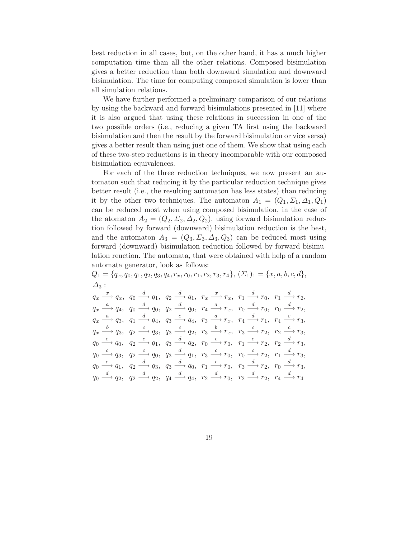best reduction in all cases, but, on the other hand, it has a much higher computation time than all the other relations. Composed bisimulation gives a better reduction than both downward simulation and downward bisimulation. The time for computing composed simulation is lower than all simulation relations.

We have further performed a preliminary comparison of our relations by using the backward and forward bisimulations presented in [11] where it is also argued that using these relations in succession in one of the two possible orders (i.e., reducing a given TA first using the backward bisimulation and then the result by the forward bisimulation or vice versa) gives a better result than using just one of them. We show that using each of these two-step reductions is in theory incomparable with our composed bisimulation equivalences.

For each of the three reduction techniques, we now present an automaton such that reducing it by the particular reduction technique gives better result (i.e., the resulting automaton has less states) than reducing it by the other two techniques. The automaton  $A_1 = (Q_1, \Sigma_1, \Delta_1, Q_1)$ can be reduced most when using composed bisimulation, in the case of the atomaton  $A_2 = (Q_2, \Sigma_2, \Delta_2, Q_2)$ , using forward bisimulation reduction followed by forward (downward) bisimulation reduction is the best, and the automaton  $A_3 = (Q_3, \Sigma_3, \Delta_3, Q_3)$  can be reduced most using forward (downward) bisimulation reduction followed by forward bisimulation reuction. The automata, that were obtained with help of a random automata generator, look as follows:

$$
Q_{1} = \{q_{x}, q_{0}, q_{1}, q_{2}, q_{3}, q_{4}, r_{x}, r_{0}, r_{1}, r_{2}, r_{3}, r_{4}\}, (\Sigma_{1})_{1} = \{x, a, b, c, d\},
$$
  
\n
$$
A_{3}:
$$
  
\n
$$
q_{x} \xrightarrow{\alpha} q_{x}, q_{0} \xrightarrow{d} q_{1}, q_{2} \xrightarrow{d} q_{1}, r_{x} \xrightarrow{\alpha} r_{x}, r_{1} \xrightarrow{d} r_{0}, r_{1} \xrightarrow{d} r_{2},
$$
  
\n
$$
q_{x} \xrightarrow{\alpha} q_{4}, q_{0} \xrightarrow{d} q_{0}, q_{2} \xrightarrow{d} q_{0}, r_{4} \xrightarrow{\alpha} r_{x}, r_{0} \xrightarrow{d} r_{0}, r_{0} \xrightarrow{\alpha} r_{2},
$$
  
\n
$$
q_{x} \xrightarrow{\alpha} q_{3}, q_{1} \xrightarrow{d} q_{4}, q_{3} \xrightarrow{c} q_{4}, r_{3} \xrightarrow{\alpha} r_{x}, r_{4} \xrightarrow{d} r_{1}, r_{4} \xrightarrow{c} r_{3},
$$
  
\n
$$
q_{x} \xrightarrow{b} q_{3}, q_{2} \xrightarrow{c} q_{3}, q_{3} \xrightarrow{c} q_{2}, r_{3} \xrightarrow{b} r_{x}, r_{3} \xrightarrow{c} r_{2}, r_{2} \xrightarrow{c} r_{3},
$$
  
\n
$$
q_{0} \xrightarrow{c} q_{0}, q_{2} \xrightarrow{c} q_{1}, q_{3} \xrightarrow{d} q_{2}, r_{0} \xrightarrow{c} r_{0}, r_{1} \xrightarrow{c} r_{2}, r_{2} \xrightarrow{d} r_{3},
$$
  
\n
$$
q_{0} \xrightarrow{c} q_{3}, q_{2} \xrightarrow{c} q_{0}, q_{3} \xrightarrow{d} q_{1}, r_{3} \xrightarrow{c} r_{0}, r_{0} \xrightarrow{c} r_{2}, r_{1} \xrightarrow{d} r_{3},
$$
  
\n
$$
q_{0} \xrightarrow{c} q_{1}, q_{2} \xrightarrow{d} q_{3}, q_{3} \xrightarrow{d} q_{0}, r_{1} \xrightarrow{c} r_{0}, r_{3} \xrightarrow{d} r_{2}, r_{0} \xrightarrow
$$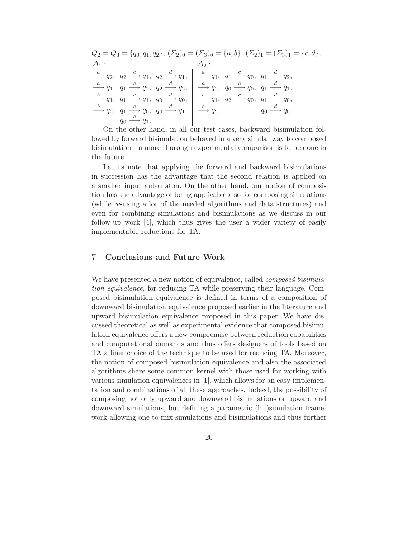$$
Q_2 = Q_3 = \{q_0, q_1, q_2\}, \ ( \Sigma_2)_0 = ( \Sigma_3)_0 = \{a, b\}, \ ( \Sigma_2)_1 = ( \Sigma_3)_1 = \{c, d\}, \n\Delta_1 : \qquad \Delta_2 : \n\stackrel{a}{\longrightarrow} q_2, q_2 \stackrel{c}{\longrightarrow} q_1, q_2 \stackrel{d}{\longrightarrow} q_1, \qquad \frac{a}{\longrightarrow} q_1, q_1 \stackrel{c}{\longrightarrow} q_0, q_1 \stackrel{d}{\longrightarrow} q_2, \n\stackrel{a}{\longrightarrow} q_1, q_1 \stackrel{c}{\longrightarrow} q_2, q_2 \stackrel{d}{\longrightarrow} q_2, \qquad \frac{a}{\longrightarrow} q_2, q_0 \stackrel{c}{\longrightarrow} q_0, q_1 \stackrel{d}{\longrightarrow} q_1, \n\stackrel{b}{\longrightarrow} q_1, q_1 \stackrel{c}{\longrightarrow} q_0, q_0 \stackrel{d}{\longrightarrow} q_0, \qquad \frac{b}{\longrightarrow} q_1, q_2 \stackrel{c}{\longrightarrow} q_0, q_1 \stackrel{d}{\longrightarrow} q_0, \n\stackrel{b}{\longrightarrow} q_2, q_1 \stackrel{c}{\longrightarrow} q_0, q_0 \stackrel{d}{\longrightarrow} q_1, \qquad \frac{b}{\longrightarrow} q_2, \qquad q_0 \stackrel{d}{\longrightarrow} q_0.
$$

On the other hand, in all our test cases, backward bisimulation followed by forward bisimulation behaved in a very similar way to composed bisimulation—a more thorough experimental comparison is to be done in the future.

Let us note that applying the forward and backward bisimulations in succession has the advantage that the second relation is applied on a smaller input automaton. On the other hand, our notion of composition has the advantage of being applicable also for composing simulations (while re-using a lot of the needed algorithms and data structures) and even for combining simulations and bisimulations as we discuss in our follow-up work [4], which thus gives the user a wider variety of easily implementable reductions for TA.

## 7 Conclusions and Future Work

We have presented a new notion of equivalence, called *composed bisimula*tion equivalence, for reducing TA while preserving their language. Composed bisimulation equivalence is defined in terms of a composition of downward bisimulation equivalence proposed earlier in the literature and upward bisimulation equivalence proposed in this paper. We have discussed theoretical as well as experimental evidence that composed bisimulation equivalence offers a new compromise between reduction capabilities and computational demands and thus offers designers of tools based on TA a finer choice of the technique to be used for reducing TA. Moreover, the notion of composed bisimulation equivalence and also the associated algorithms share some common kernel with those used for working with various simulation equivalences in [1], which allows for an easy implementation and combinations of all these approaches. Indeed, the possibility of composing not only upward and downward bisimulations or upward and downward simulations, but defining a parametric (bi-)simulation framework allowing one to mix simulations and bisimulations and thus further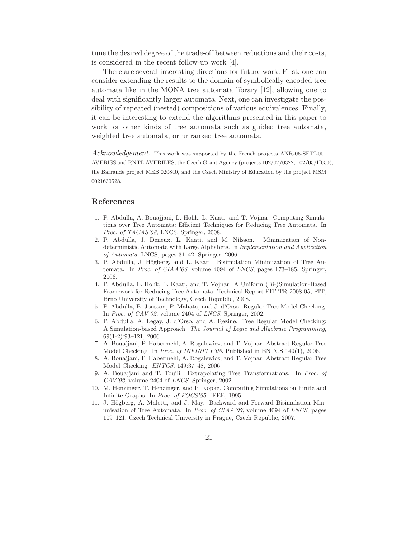tune the desired degree of the trade-off between reductions and their costs, is considered in the recent follow-up work [4].

There are several interesting directions for future work. First, one can consider extending the results to the domain of symbolically encoded tree automata like in the MONA tree automata library [12], allowing one to deal with significantly larger automata. Next, one can investigate the possibility of repeated (nested) compositions of various equivalences. Finally, it can be interesting to extend the algorithms presented in this paper to work for other kinds of tree automata such as guided tree automata, weighted tree automata, or unranked tree automata.

Acknowledgement. This work was supported by the French projects ANR-06-SETI-001 AVERISS and RNTL AVERILES, the Czech Grant Agency (projects 102/07/0322, 102/05/H050), the Barrande project MEB 020840, and the Czech Ministry of Education by the project MSM 0021630528.

#### References

- 1. P. Abdulla, A. Bouajjani, L. Holik, L. Kaati, and T. Vojnar. Computing Simulations over Tree Automata: Efficient Techniques for Reducing Tree Automata. In Proc. of TACAS'08, LNCS. Springer, 2008.
- 2. P. Abdulla, J. Deneux, L. Kaati, and M. Nilsson. Minimization of Nondeterministic Automata with Large Alphabets. In Implementation and Application of Automata, LNCS, pages 31–42. Springer, 2006.
- 3. P. Abdulla, J. Högberg, and L. Kaati. Bisimulation Minimization of Tree Automata. In Proc. of CIAA'06, volume 4094 of LNCS, pages 173–185. Springer, 2006.
- 4. P. Abdulla, L. Holík, L. Kaati, and T. Vojnar. A Uniform (Bi-)Simulation-Based Framework for Reducing Tree Automata. Technical Report FIT-TR-2008-05, FIT, Brno University of Technology, Czech Republic, 2008.
- 5. P. Abdulla, B. Jonsson, P. Mahata, and J. d'Orso. Regular Tree Model Checking. In Proc. of CAV'02, volume 2404 of LNCS. Springer, 2002.
- 6. P. Abdulla, A. Legay, J. d'Orso, and A. Rezine. Tree Regular Model Checking: A Simulation-based Approach. The Journal of Logic and Algebraic Programming, 69(1-2):93–121, 2006.
- 7. A. Bouajjani, P. Habermehl, A. Rogalewicz, and T. Vojnar. Abstract Regular Tree Model Checking. In Proc. of INFINITY'05. Published in ENTCS 149(1), 2006.
- 8. A. Bouajjani, P. Habermehl, A. Rogalewicz, and T. Vojnar. Abstract Regular Tree Model Checking. ENTCS, 149:37–48, 2006.
- 9. A. Bouajjani and T. Touili. Extrapolating Tree Transformations. In Proc. of CAV'02, volume 2404 of LNCS. Springer, 2002.
- 10. M. Henzinger, T. Henzinger, and P. Kopke. Computing Simulations on Finite and Infinite Graphs. In Proc. of FOCS'95. IEEE, 1995.
- 11. J. Högberg, A. Maletti, and J. May. Backward and Forward Bisimulation Minimisation of Tree Automata. In Proc. of CIAA'07, volume 4094 of LNCS, pages 109–121. Czech Technical University in Prague, Czech Republic, 2007.